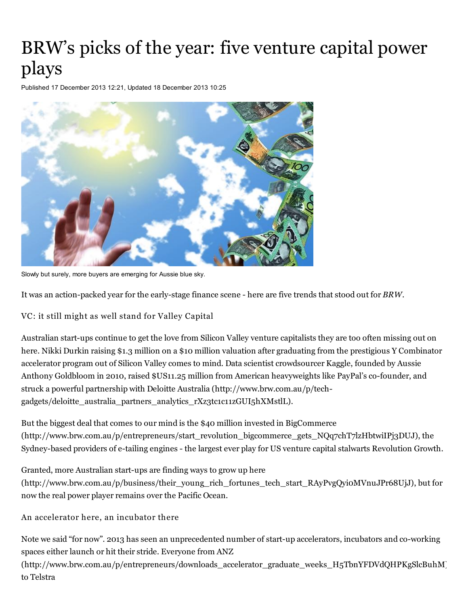## BRW's picks of the year: five venture capital power plays

Published 17 December 2013 12:21, Updated 18 December 2013 10:25



Slowly but surely, more buyers are emerging for Aussie blue sky.

It was an action-packed year for the early-stage finance scene - here are five trends that stood out for *BRW*.

VC: it still might as well stand for Valley Capital

Australian start-ups continue to get the love from Silicon Valley venture capitalists they are too often missing out on here. Nikki Durkin raising \$1.3 million on a \$10 million valuation after graduating from the prestigious Y Combinator accelerator program out of Silicon Valley comes to mind. Data scientist crowdsourcer Kaggle, founded by Aussie Anthony Goldbloom in 2010, raised \$US11.25 million from American heavyweights like PayPal's co-founder, and struck a powerful partnership with Deloitte Australia (http://www.brw.com.au/p/tech[gadgets/deloitte\\_australia\\_partners\\_analytics\\_rXz3tc1c11zGUI5hXMstlL\).](http://www.brw.com.au/p/tech-gadgets/deloitte_australia_partners_analytics_rXz3tc1c11zGUI5hXMstlL)

But the biggest deal that comes to our mind is the \$40 million invested in BigCommerce [\(http://www.brw.com.au/p/entrepreneurs/start\\_revolution\\_bigcommerce\\_gets\\_NQq7chT7lzHbtwiIPj3DUJ\),](http://www.brw.com.au/p/entrepreneurs/start_revolution_bigcommerce_gets_NQq7chT7lzHbtwiIPj3DUJ) the Sydney-based providers of e-tailing engines - the largest ever play for US venture capital stalwarts Revolution Growth.

Granted, more Australian start-ups are finding ways to grow up here [\(http://www.brw.com.au/p/business/their\\_young\\_rich\\_fortunes\\_tech\\_start\\_RAyPvgQyi0MVnuJPr68UjJ\),](http://www.brw.com.au/p/business/their_young_rich_fortunes_tech_start_RAyPvgQyi0MVnuJPr68UjJ) but for now the real power player remains over the Pacific Ocean.

An accelerator here, an incubator there

Note we said "for now". 2013 has seen an unprecedented number of start-up accelerators, incubators and co-working spaces either launch or hit their stride. Everyone from ANZ

[\(http://www.brw.com.au/p/entrepreneurs/downloads\\_accelerator\\_graduate\\_weeks\\_H5TbnYFDVdQHPKgSlcBuhM\)](http://www.brw.com.au/p/entrepreneurs/downloads_accelerator_graduate_weeks_H5TbnYFDVdQHPKgSlcBuhM) to [Telstra](http://www.brw.com.au/p/entrepreneurs/more_money_for_start_ups_as_telstra_KR6wV9mYlcllkkytxx813J)